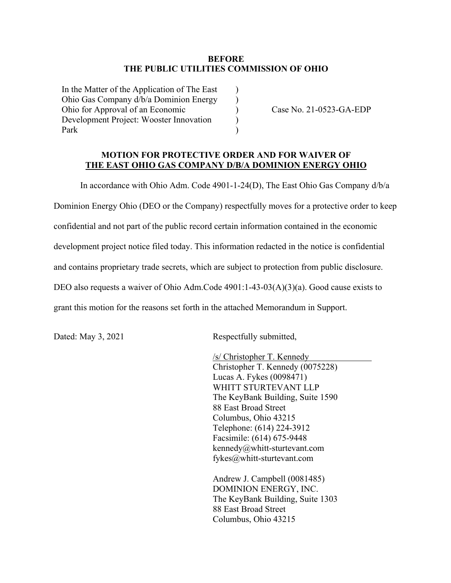## **BEFORE THE PUBLIC UTILITIES COMMISSION OF OHIO**

 $\lambda$  $\mathcal{L}$  $\overline{)}$ ) )

In the Matter of the Application of The East Ohio Gas Company d/b/a Dominion Energy Ohio for Approval of an Economic Development Project: Wooster Innovation Park

Case No. 21-0523-GA-EDP

## **MOTION FOR PROTECTIVE ORDER AND FOR WAIVER OF THE EAST OHIO GAS COMPANY D/B/A DOMINION ENERGY OHIO**

In accordance with Ohio Adm. Code 4901-1-24(D), The East Ohio Gas Company d/b/a Dominion Energy Ohio (DEO or the Company) respectfully moves for a protective order to keep confidential and not part of the public record certain information contained in the economic development project notice filed today. This information redacted in the notice is confidential and contains proprietary trade secrets, which are subject to protection from public disclosure. DEO also requests a waiver of Ohio Adm.Code 4901:1-43-03(A)(3)(a). Good cause exists to grant this motion for the reasons set forth in the attached Memorandum in Support.

Dated: May 3, 2021 Respectfully submitted,

/s/ Christopher T. Kennedy Christopher T. Kennedy (0075228) Lucas A. Fykes (0098471) WHITT STURTEVANT LLP The KeyBank Building, Suite 1590 88 East Broad Street Columbus, Ohio 43215 Telephone: (614) 224-3912 Facsimile: (614) 675-9448 kennedy@whitt-sturtevant.com fykes@whitt-sturtevant.com

Andrew J. Campbell (0081485) DOMINION ENERGY, INC. The KeyBank Building, Suite 1303 88 East Broad Street Columbus, Ohio 43215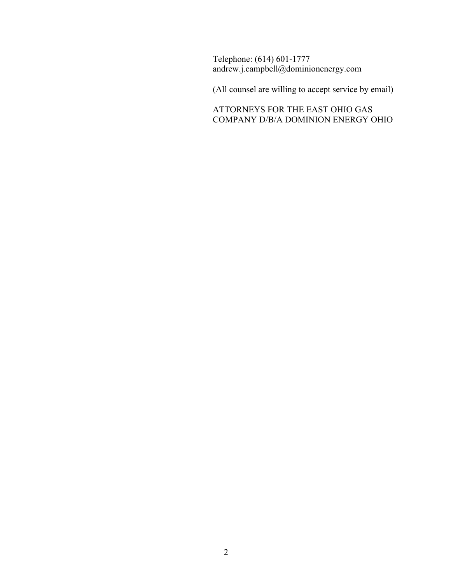Telephone: (614) 601-1777 andrew.j.campbell@dominionenergy.com

(All counsel are willing to accept service by email)

ATTORNEYS FOR THE EAST OHIO GAS COMPANY D/B/A DOMINION ENERGY OHIO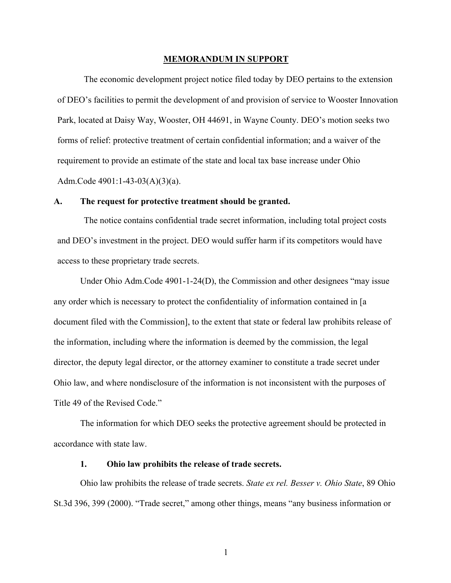#### **MEMORANDUM IN SUPPORT**

The economic development project notice filed today by DEO pertains to the extension of DEO's facilities to permit the development of and provision of service to Wooster Innovation Park, located at Daisy Way, Wooster, OH 44691, in Wayne County. DEO's motion seeks two forms of relief: protective treatment of certain confidential information; and a waiver of the requirement to provide an estimate of the state and local tax base increase under Ohio Adm.Code 4901:1-43-03(A)(3)(a).

## **A. The request for protective treatment should be granted.**

The notice contains confidential trade secret information, including total project costs and DEO's investment in the project. DEO would suffer harm if its competitors would have access to these proprietary trade secrets.

Under Ohio Adm.Code 4901-1-24(D), the Commission and other designees "may issue any order which is necessary to protect the confidentiality of information contained in [a document filed with the Commission], to the extent that state or federal law prohibits release of the information, including where the information is deemed by the commission, the legal director, the deputy legal director, or the attorney examiner to constitute a trade secret under Ohio law, and where nondisclosure of the information is not inconsistent with the purposes of Title 49 of the Revised Code."

The information for which DEO seeks the protective agreement should be protected in accordance with state law.

#### **1. Ohio law prohibits the release of trade secrets.**

Ohio law prohibits the release of trade secrets. *State ex rel. Besser v. Ohio State*, 89 Ohio St.3d 396, 399 (2000). "Trade secret," among other things, means "any business information or

1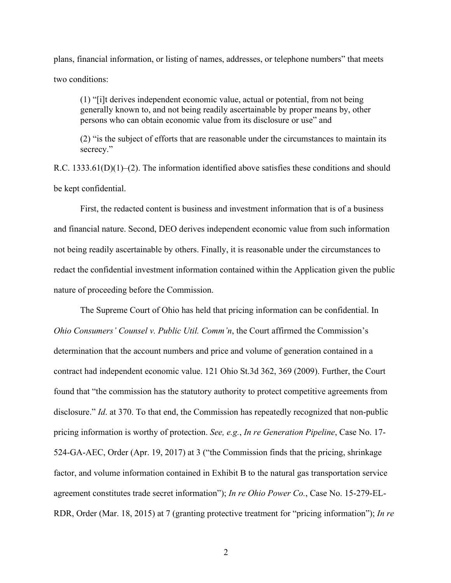plans, financial information, or listing of names, addresses, or telephone numbers" that meets two conditions:

(1) "[i]t derives independent economic value, actual or potential, from not being generally known to, and not being readily ascertainable by proper means by, other persons who can obtain economic value from its disclosure or use" and

(2) "is the subject of efforts that are reasonable under the circumstances to maintain its secrecy."

R.C. 1333.61(D)(1)–(2). The information identified above satisfies these conditions and should be kept confidential.

First, the redacted content is business and investment information that is of a business and financial nature. Second, DEO derives independent economic value from such information not being readily ascertainable by others. Finally, it is reasonable under the circumstances to redact the confidential investment information contained within the Application given the public nature of proceeding before the Commission.

The Supreme Court of Ohio has held that pricing information can be confidential. In *Ohio Consumers' Counsel v. Public Util. Comm'n*, the Court affirmed the Commission's determination that the account numbers and price and volume of generation contained in a contract had independent economic value. 121 Ohio St.3d 362, 369 (2009). Further, the Court found that "the commission has the statutory authority to protect competitive agreements from disclosure." *Id.* at 370. To that end, the Commission has repeatedly recognized that non-public pricing information is worthy of protection. *See, e.g.*, *In re Generation Pipeline*, Case No. 17- 524-GA-AEC, Order (Apr. 19, 2017) at 3 ("the Commission finds that the pricing, shrinkage factor, and volume information contained in Exhibit B to the natural gas transportation service agreement constitutes trade secret information"); *In re Ohio Power Co.*, Case No. 15-279-EL-RDR, Order (Mar. 18, 2015) at 7 (granting protective treatment for "pricing information"); *In re*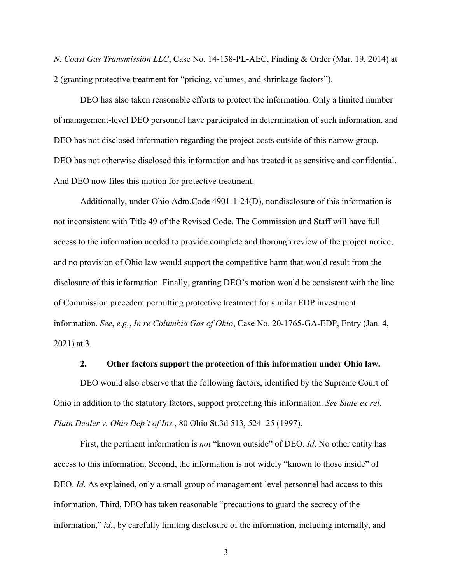*N. Coast Gas Transmission LLC*, Case No. 14-158-PL-AEC, Finding & Order (Mar. 19, 2014) at 2 (granting protective treatment for "pricing, volumes, and shrinkage factors").

DEO has also taken reasonable efforts to protect the information. Only a limited number of management-level DEO personnel have participated in determination of such information, and DEO has not disclosed information regarding the project costs outside of this narrow group. DEO has not otherwise disclosed this information and has treated it as sensitive and confidential. And DEO now files this motion for protective treatment.

Additionally, under Ohio Adm.Code 4901-1-24(D), nondisclosure of this information is not inconsistent with Title 49 of the Revised Code. The Commission and Staff will have full access to the information needed to provide complete and thorough review of the project notice, and no provision of Ohio law would support the competitive harm that would result from the disclosure of this information. Finally, granting DEO's motion would be consistent with the line of Commission precedent permitting protective treatment for similar EDP investment information. *See*, *e.g.*, *In re Columbia Gas of Ohio*, Case No. 20-1765-GA-EDP, Entry (Jan. 4, 2021) at 3.

# **2. Other factors support the protection of this information under Ohio law.**

DEO would also observe that the following factors, identified by the Supreme Court of Ohio in addition to the statutory factors, support protecting this information. *See State ex rel. Plain Dealer v. Ohio Dep't of Ins.*, 80 Ohio St.3d 513, 524–25 (1997).

First, the pertinent information is *not* "known outside" of DEO. *Id*. No other entity has access to this information. Second, the information is not widely "known to those inside" of DEO. *Id*. As explained, only a small group of management-level personnel had access to this information. Third, DEO has taken reasonable "precautions to guard the secrecy of the information," *id*., by carefully limiting disclosure of the information, including internally, and

3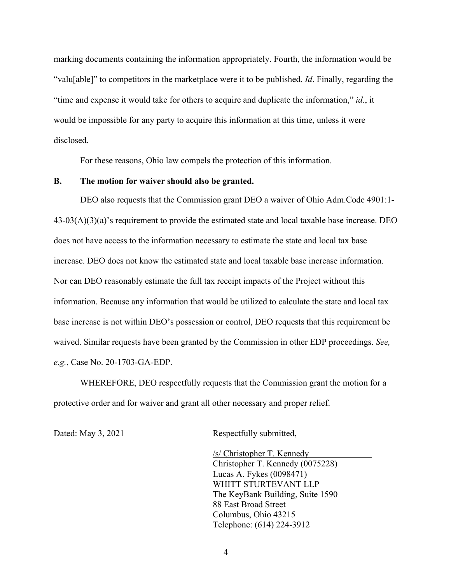marking documents containing the information appropriately. Fourth, the information would be "valu[able]" to competitors in the marketplace were it to be published. *Id*. Finally, regarding the "time and expense it would take for others to acquire and duplicate the information," *id*., it would be impossible for any party to acquire this information at this time, unless it were disclosed.

For these reasons, Ohio law compels the protection of this information.

### **B. The motion for waiver should also be granted.**

DEO also requests that the Commission grant DEO a waiver of Ohio Adm.Code 4901:1- 43-03(A)(3)(a)'s requirement to provide the estimated state and local taxable base increase. DEO does not have access to the information necessary to estimate the state and local tax base increase. DEO does not know the estimated state and local taxable base increase information. Nor can DEO reasonably estimate the full tax receipt impacts of the Project without this information. Because any information that would be utilized to calculate the state and local tax base increase is not within DEO's possession or control, DEO requests that this requirement be waived. Similar requests have been granted by the Commission in other EDP proceedings. *See, e.g.*, Case No. 20-1703-GA-EDP.

WHEREFORE, DEO respectfully requests that the Commission grant the motion for a protective order and for waiver and grant all other necessary and proper relief.

Dated: May 3, 2021 Respectfully submitted,

/s/ Christopher T. Kennedy Christopher T. Kennedy (0075228) Lucas A. Fykes (0098471) WHITT STURTEVANT LLP The KeyBank Building, Suite 1590 88 East Broad Street Columbus, Ohio 43215 Telephone: (614) 224-3912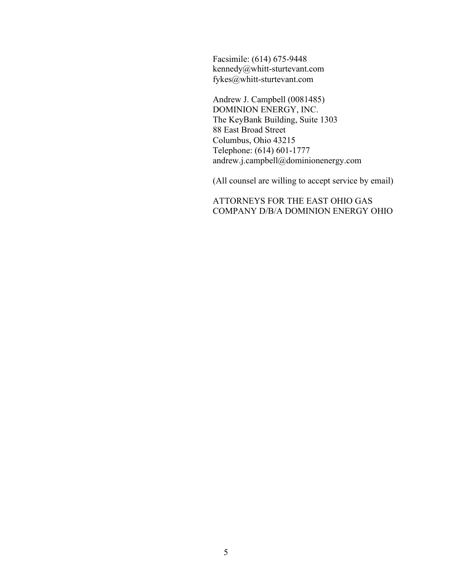Facsimile: (614) 675-9448 kennedy@whitt-sturtevant.com fykes@whitt-sturtevant.com

Andrew J. Campbell (0081485) DOMINION ENERGY, INC. The KeyBank Building, Suite 1303 88 East Broad Street Columbus, Ohio 43215 Telephone: (614) 601-1777 andrew.j.campbell@dominionenergy.com

(All counsel are willing to accept service by email)

ATTORNEYS FOR THE EAST OHIO GAS COMPANY D/B/A DOMINION ENERGY OHIO